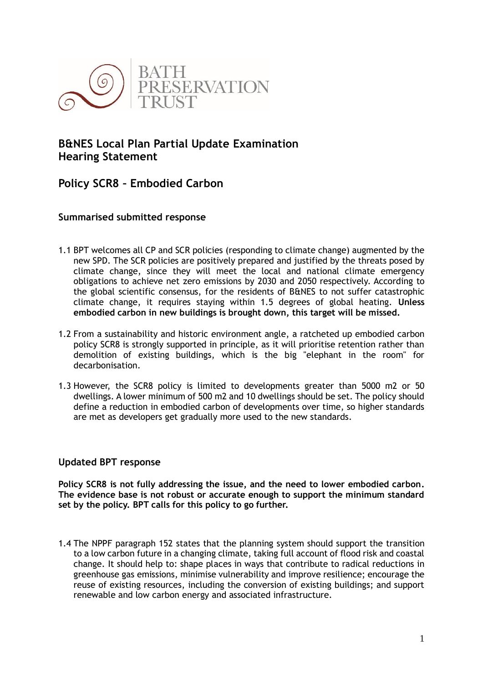

# **B&NES Local Plan Partial Update Examination Hearing Statement**

# **Policy SCR8 – Embodied Carbon**

## **Summarised submitted response**

- 1.1 BPT welcomes all CP and SCR policies (responding to climate change) augmented by the new SPD. The SCR policies are positively prepared and justified by the threats posed by climate change, since they will meet the local and national climate emergency obligations to achieve net zero emissions by 2030 and 2050 respectively. According to the global scientific consensus, for the residents of B&NES to not suffer catastrophic climate change, it requires staying within 1.5 degrees of global heating. **Unless embodied carbon in new buildings is brought down, this target will be missed.**
- 1.2 From a sustainability and historic environment angle, a ratcheted up embodied carbon policy SCR8 is strongly supported in principle, as it will prioritise retention rather than demolition of existing buildings, which is the big "elephant in the room" for decarbonisation.
- 1.3 However, the SCR8 policy is limited to developments greater than 5000 m2 or 50 dwellings. A lower minimum of 500 m2 and 10 dwellings should be set. The policy should define a reduction in embodied carbon of developments over time, so higher standards are met as developers get gradually more used to the new standards.

### **Updated BPT response**

**Policy SCR8 is not fully addressing the issue, and the need to lower embodied carbon. The evidence base is not robust or accurate enough to support the minimum standard set by the policy. BPT calls for this policy to go further.**

1.4 The NPPF paragraph 152 states that the planning system should support the transition to a low carbon future in a changing climate, taking full account of flood risk and coastal change. It should help to: shape places in ways that contribute to radical reductions in greenhouse gas emissions, minimise vulnerability and improve resilience; encourage the reuse of existing resources, including the conversion of existing buildings; and support renewable and low carbon energy and associated infrastructure.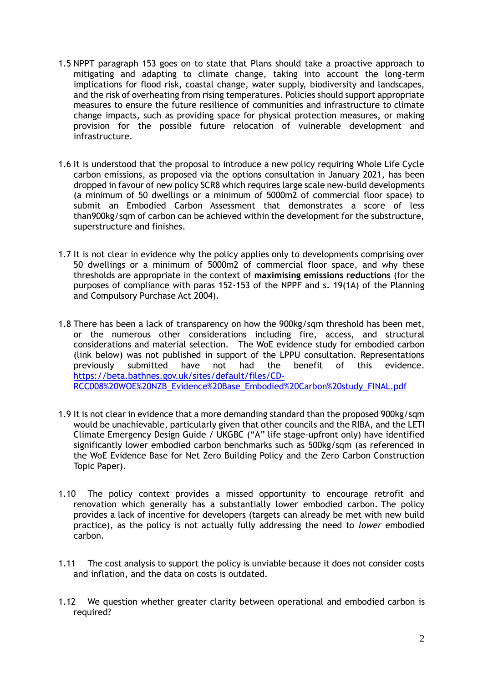- 1.5 NPPT paragraph 153 goes on to state that Plans should take a proactive approach to mitigating and adapting to climate change, taking into account the long-term implications for flood risk, coastal change, water supply, biodiversity and landscapes, and the risk of overheating from rising temperatures. Policies should support appropriate measures to ensure the future resilience of communities and infrastructure to climate change impacts, such as providing space for physical protection measures, or making provision for the possible future relocation of vulnerable development and infrastructure.
- 1.6 It is understood that the proposal to introduce a new policy requiring Whole Life Cycle carbon emissions, as proposed via the options consultation in January 2021, has been dropped in favour of new policy SCR8 which requires large scale new-build developments (a minimum of 50 dwellings or a minimum of 5000m2 of commercial floor space) to submit an Embodied Carbon Assessment that demonstrates a score of less than900kg/sqm of carbon can be achieved within the development for the substructure, superstructure and finishes.
- 1.7 It is not clear in evidence why the policy applies only to developments comprising over 50 dwellings or a minimum of 5000m2 of commercial floor space, and why these thresholds are appropriate in the context of **maximising emissions reductions** (for the purposes of compliance with paras 152-153 of the NPPF and s. 19(1A) of the Planning and Compulsory Purchase Act 2004).
- 1.8 There has been a lack of transparency on how the 900kg/sqm threshold has been met, or the numerous other considerations including fire, access, and structural considerations and material selection. The WoE evidence study for embodied carbon (link below) was not published in support of the LPPU consultation. Representations previously submitted have not had the benefit of this evidence. [https://beta.bathnes.gov.uk/sites/default/files/CD-](https://beta.bathnes.gov.uk/sites/default/files/CD-RCC008%20WOE%20NZB_Evidence%20Base_Embodied%20Carbon%20study_FINAL.pdf)[RCC008%20WOE%20NZB\\_Evidence%20Base\\_Embodied%20Carbon%20study\\_FINAL.pdf](https://beta.bathnes.gov.uk/sites/default/files/CD-RCC008%20WOE%20NZB_Evidence%20Base_Embodied%20Carbon%20study_FINAL.pdf)
- 1.9 It is not clear in evidence that a more demanding standard than the proposed 900kg/sqm would be unachievable, particularly given that other councils and the RIBA, and the LETI Climate Emergency Design Guide / UKGBC ("A" life stage-upfront only) have identified significantly lower embodied carbon benchmarks such as 500kg/sqm (as referenced in the WoE Evidence Base for Net Zero Building Policy and the Zero Carbon Construction Topic Paper).
- 1.10 The policy context provides a missed opportunity to encourage retrofit and renovation which generally has a substantially lower embodied carbon. The policy provides a lack of incentive for developers (targets can already be met with new build practice), as the policy is not actually fully addressing the need to *lower* embodied carbon.
- 1.11 The cost analysis to support the policy is unviable because it does not consider costs and inflation, and the data on costs is outdated.
- 1.12 We question whether greater clarity between operational and embodied carbon is required?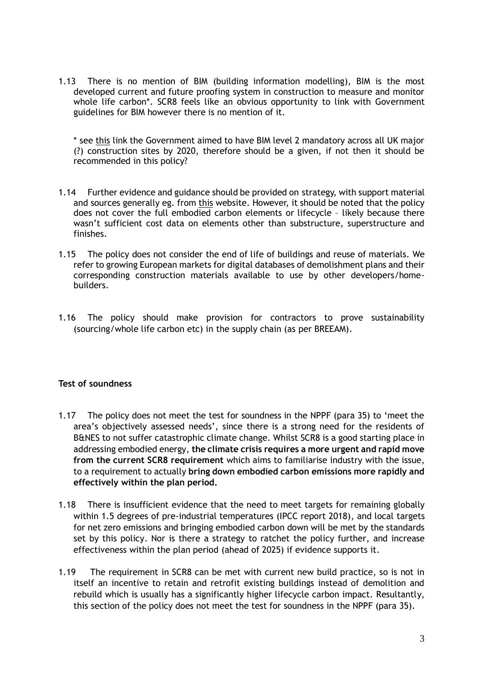1.13 There is no mention of BIM (building information modelling), BIM is the most developed current and future proofing system in construction to measure and monitor whole life carbon\*. SCR8 feels like an obvious opportunity to link with Government guidelines for BIM however there is no mention of it.

\* see [this](https://assets.publishing.service.gov.uk/government/uploads/system/uploads/attachment_data/file/510354/Government_Construction_Strategy_2016-20.pdf) link the Government aimed to have BIM level 2 mandatory across all UK major (?) construction sites by 2020, therefore should be a given, if not then it should be recommended in this policy?

- 1.14 Further evidence and guidance should be provided on strategy, with support material and sources generally eg. from [this](https://www.weforum.org/agenda/2021/07/construction-industry-doesn-t-know-where-it-stands-when-it-comes-to-carbon-emissions/) website. However, it should be noted that the policy does not cover the full embodied carbon elements or lifecycle – likely because there wasn't sufficient cost data on elements other than substructure, superstructure and finishes.
- 1.15 The policy does not consider the end of life of buildings and reuse of materials. We refer to growing European markets for digital databases of demolishment plans and their corresponding construction materials available to use by other developers/homebuilders.
- 1.16 The policy should make provision for contractors to prove sustainability (sourcing/whole life carbon etc) in the supply chain (as per BREEAM).

### **Test of soundness**

- 1.17 The policy does not meet the test for soundness in the NPPF (para 35) to 'meet the area's objectively assessed needs', since there is a strong need for the residents of B&NES to not suffer catastrophic climate change. Whilst SCR8 is a good starting place in addressing embodied energy, **the climate crisis requires a more urgent and rapid move from the current SCR8 requirement** which aims to familiarise industry with the issue, to a requirement to actually **bring down embodied carbon emissions more rapidly and effectively within the plan period.**
- 1.18 There is insufficient evidence that the need to meet targets for remaining globally within 1.5 degrees of pre-industrial temperatures (IPCC report 2018), and local targets for net zero emissions and bringing embodied carbon down will be met by the standards set by this policy. Nor is there a strategy to ratchet the policy further, and increase effectiveness within the plan period (ahead of 2025) if evidence supports it.
- 1.19 The requirement in SCR8 can be met with current new build practice, so is not in itself an incentive to retain and retrofit existing buildings instead of demolition and rebuild which is usually has a significantly higher lifecycle carbon impact. Resultantly, this section of the policy does not meet the test for soundness in the NPPF (para 35).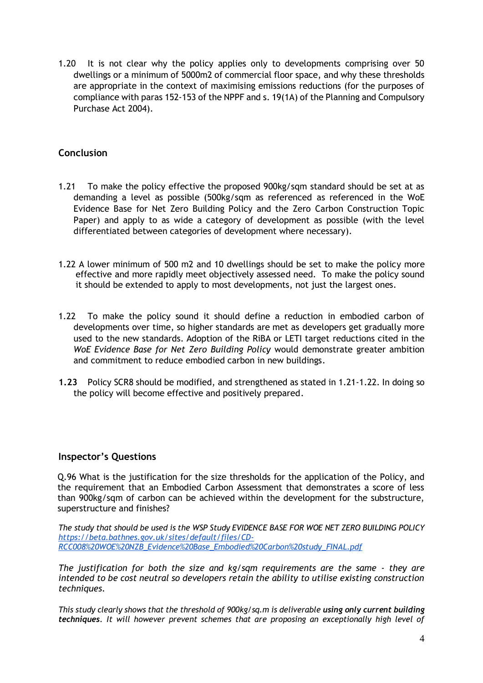1.20 It is not clear why the policy applies only to developments comprising over 50 dwellings or a minimum of 5000m2 of commercial floor space, and why these thresholds are appropriate in the context of maximising emissions reductions (for the purposes of compliance with paras 152-153 of the NPPF and s. 19(1A) of the Planning and Compulsory Purchase Act 2004).

## **Conclusion**

- 1.21 To make the policy effective the proposed 900kg/sqm standard should be set at as demanding a level as possible (500kg/sqm as referenced as referenced in the WoE Evidence Base for Net Zero Building Policy and the Zero Carbon Construction Topic Paper) and apply to as wide a category of development as possible (with the level differentiated between categories of development where necessary).
- 1.22 A lower minimum of 500 m2 and 10 dwellings should be set to make the policy more effective and more rapidly meet objectively assessed need. To make the policy sound it should be extended to apply to most developments, not just the largest ones.
- 1.22 To make the policy sound it should define a reduction in embodied carbon of developments over time, so higher standards are met as developers get gradually more used to the new standards. Adoption of the RiBA or LETI target reductions cited in the *WoE Evidence Base for Net Zero Building Policy* would demonstrate greater ambition and commitment to reduce embodied carbon in new buildings.
- **1.23** Policy SCR8 should be modified, and strengthened as stated in 1.21-1.22. In doing so the policy will become effective and positively prepared.

### **Inspector's Questions**

Q.96 What is the justification for the size thresholds for the application of the Policy, and the requirement that an Embodied Carbon Assessment that demonstrates a score of less than 900kg/sqm of carbon can be achieved within the development for the substructure, superstructure and finishes?

*The study that should be used is the WSP Study EVIDENCE BASE FOR WOE NET ZERO BUILDING POLICY [https://beta.bathnes.gov.uk/sites/default/files/CD-](https://beta.bathnes.gov.uk/sites/default/files/CD-RCC008%20WOE%20NZB_Evidence%20Base_Embodied%20Carbon%20study_FINAL.pdf)[RCC008%20WOE%20NZB\\_Evidence%20Base\\_Embodied%20Carbon%20study\\_FINAL.pdf](https://beta.bathnes.gov.uk/sites/default/files/CD-RCC008%20WOE%20NZB_Evidence%20Base_Embodied%20Carbon%20study_FINAL.pdf)*

*The justification for both the size and kg/sqm requirements are the same - they are intended to be cost neutral so developers retain the ability to utilise existing construction techniques.*

*This study clearly shows that the threshold of 900kg/sq.m is deliverable using only current building techniques. It will however prevent schemes that are proposing an exceptionally high level of*